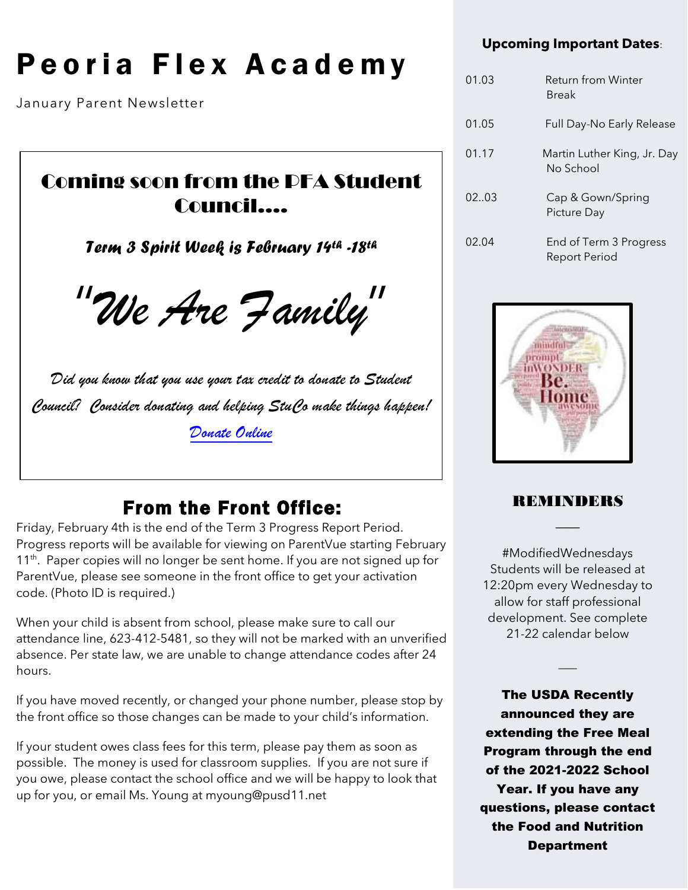# Peoria Flex Academy

January Parent Newsletter

 $\overline{\phantom{a}}$ 

 $\overline{\phantom{a}}$ 

 $\overline{\phantom{a}}$ 

### Coming soon from the PFA Student Council….

*Term 3 Spirit Week is February 14th -18th*

"We Are Family"

Did you know that you use your tax credit to donate to Student Council? Consider donating and helping StuCo make things happen! [Donate Online](https://az-peoria-lite.intouchreceipting.com/)

### From the Front Office:

Friday, February 4th is the end of the Term 3 Progress Report Period. Progress reports will be available for viewing on ParentVue starting February 11<sup>th</sup>. Paper copies will no longer be sent home. If you are not signed up for ParentVue, please see someone in the front office to get your activation code. (Photo ID is required.)

When your child is absent from school, please make sure to call our attendance line, 623-412-5481, so they will not be marked with an unverified absence. Per state law, we are unable to change attendance codes after 24 hours.

If you have moved recently, or changed your phone number, please stop by the front office so those changes can be made to your child's information.

If your student owes class fees for this term, please pay them as soon as possible. The money is used for classroom supplies. If you are not sure if you owe, please contact the school office and we will be happy to look that up for you, or email Ms. Young at myoung@pusd11.net

### **Upcoming Important Dates**:

| 01.03 | Return from Winter<br><b>Break</b>             |
|-------|------------------------------------------------|
| 01.05 | Full Day-No Early Release                      |
| 01.17 | Martin Luther King, Jr. Day<br>No School       |
| 02.03 | Cap & Gown/Spring<br>Picture Day               |
| 02.04 | End of Term 3 Progress<br><b>Report Period</b> |



### REMINDERS  $\overline{\phantom{a}}$

#ModifiedWednesdays Students will be released at 12:20pm every Wednesday to allow for staff professional development. See complete 21-22 calendar below

 $\overline{\phantom{a}}$ 

The USDA Recently announced they are extending the Free Meal Program through the end of the 2021-2022 School Year. If you have any questions, please contact the Food and Nutrition Department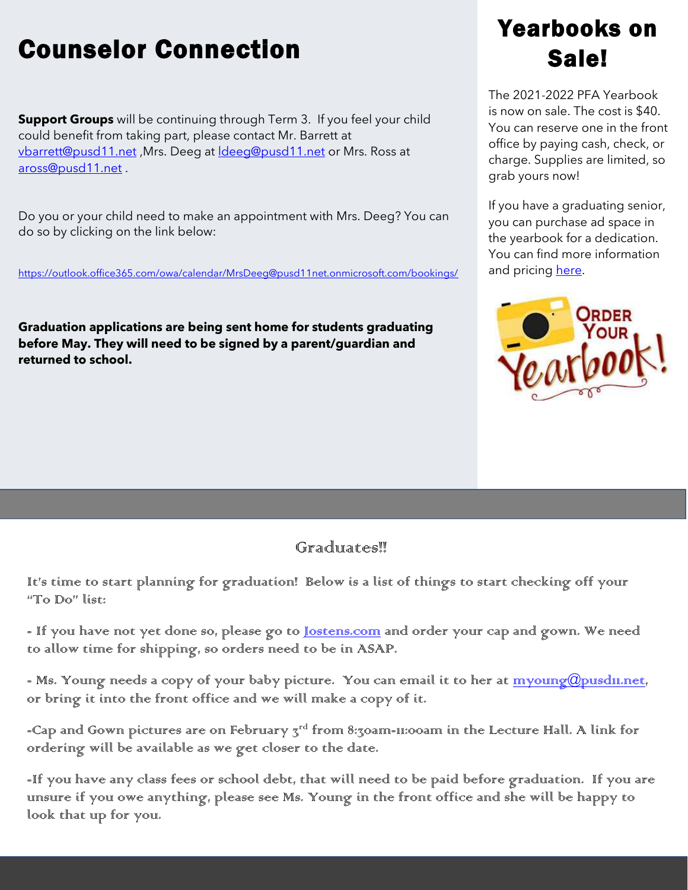## Counselor Connection

**Support Groups** will be continuing through Term 3. If you feel your child could benefit from taking part, please contact Mr. Barrett at [vbarrett@pusd11.net](mailto:vbarrett@pusd11.net) ,Mrs. Deeg at [ldeeg@pusd11.net](mailto:ldeeg@pusd11.net) or Mrs. Ross at [aross@pusd11.net](mailto:aross@pusd11.net) .

Do you or your child need to make an appointment with Mrs. Deeg? You can do so by clicking on the link below:

<https://outlook.office365.com/owa/calendar/MrsDeeg@pusd11net.onmicrosoft.com/bookings/>

**Graduation applications are being sent home for students graduating before May. They will need to be signed by a parent/guardian and returned to school.** 

## Yearbooks on Sale!

The 2021-2022 PFA Yearbook is now on sale. The cost is \$40. You can reserve one in the front office by paying cash, check, or charge. Supplies are limited, so grab yours now!

If you have a graduating senior, you can purchase ad space in the yearbook for a dedication. You can find more information and pricing [here.](https://pusd11net-my.sharepoint.com/:b:/g/personal/myoung_pusd11_net/Ed7UYL_wPgJLi4OjDp5XMswBHar7N87bl4XBf1vhMyEECA)



### Graduates!

It's time to start planning for graduation! Below is a list of things to start checking off your "To Do" list:

- If you have not yet done so, please go to <u>Jostens.com</u> and order your cap and gown. We need to allow time for shipping, so orders need to be in ASAP.

- Ms. Young needs a copy of your baby picture. You can email it to her at myoung@pusdu.net, or bring it into the front office and we will make a copy of it.

-Cap and Gown pictures are on February  $\bar{z}^{\text{rd}}$  from 8:30am-11:00am in the Lecture Hall. A link for ordering will be available as we get closer to the date.

-If you have any class fees or school debt, that will need to be paid before graduation. If you are unsure if you owe anything, please see Ms. Young in the front office and she will be happy to look that up for you.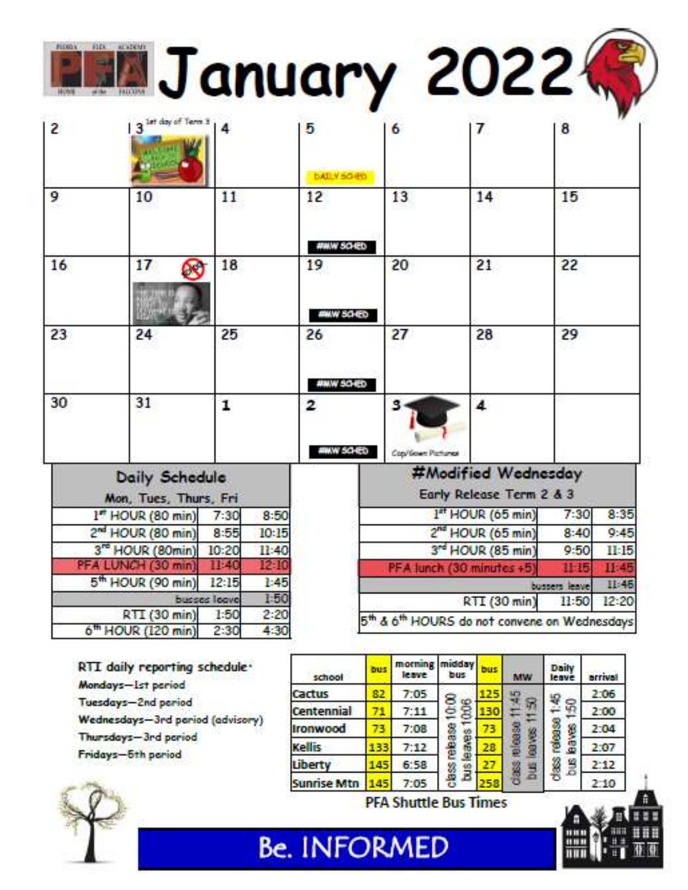**MJanuary 20224** 

| 2  | 3 <sup>1st day of</sup> Term 3                 | 4                            | 5                        | 6                                            | 7                                               | 8             |       |
|----|------------------------------------------------|------------------------------|--------------------------|----------------------------------------------|-------------------------------------------------|---------------|-------|
| 9  | 10                                             | 11                           | <b>BAILY SO ED</b><br>12 | 13                                           | 14                                              | 15            |       |
| 16 | 17<br>$\mathbf{x}$                             | 18                           | #WW SO IED<br>19         | 20                                           | 21                                              | 22            |       |
| 23 | 24                                             | 25                           | <b>AWW SO-ED</b><br>26   | 27                                           | 28                                              | 29            |       |
| 30 | 31                                             | 1                            | <b>#MW SO-ED</b><br>2    | з                                            | 4                                               |               |       |
|    | <b>Daily Schedule</b><br>Mon, Tues, Thurs, Fri |                              | <b>AWW SCHED</b>         | Cop/Gown Pictures                            | #Modified Wednesday<br>Early Release Term 2 & 3 |               |       |
|    | 1" HOUR (80 min)                               | 8:50<br>7:30                 |                          |                                              | 1st HOUR (65 min)                               | 7:30          | 8:35  |
|    | 2 <sup>nd</sup> HOUR (80 min)                  | 8:55<br>10:15                |                          |                                              | 2 <sup>nd</sup> HOUR (65 min)                   | 8:40          | 9:45  |
|    | 3 <sup>rd</sup> HOUR (80min)                   | 10:20<br>11:40               |                          | 3 <sup>rd</sup> HOUR (85 min)                |                                                 | 9:50          | 11:15 |
|    | PFA LUNCH (30 min)                             | 12-10<br>11:40               |                          | PFA Junch (30 minutes +5                     |                                                 | 11:15         | II:45 |
|    | 5 <sup>th</sup> HOUR (90 min)                  | 1.45<br>12:15                |                          |                                              |                                                 | bussers leave | II:45 |
|    |                                                | 1:50<br>busses leave         |                          |                                              | RTI (30 min)                                    | 11:50         | 12:20 |
|    | RTI (30 min)<br>6 <sup>th</sup> HOUR (120 min) | 2:20<br>1:50<br>4:30<br>2:30 |                          | 5th & 6th HOURS do not convene on Wednesdays |                                                 |               |       |

RTI daily reporting schedule. Mondays-Ist period Tuesdays-2nd pariod Wednesdays-3rd pariod (advisory) Thursdays-3rd period Fridays-5th period



morning midday Daily bus bus leave bus leave school MW arrival Cactus 2:06 82  $7:05$ 125 Ş class release 1:45 class release 10:00 leaves 1006  $bus$  leaves  $150$ **BOV& 1150** Centennial 71  $7:11$ 130 2:00 01863 1910030 **Ironwood** 73  $7:08$ 73 2:04 28 Kellis 133  $7:12$ 2:07  $6:58$ Busi 27 **Bus**  $2:12$ Liberty 145 Sunrise Mtn 145  $7:05$  $2:10$ 

**PFA Shuttle Bus Times** 

**Be. INFORMED**